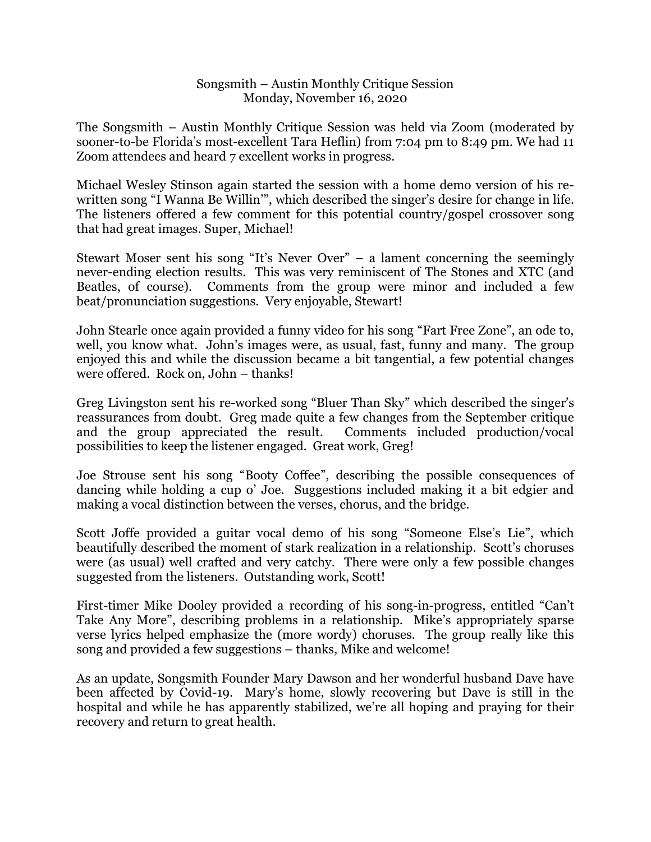## Songsmith – Austin Monthly Critique Session Monday, November 16, 2020

The Songsmith – Austin Monthly Critique Session was held via Zoom (moderated by sooner-to-be Florida's most-excellent Tara Heflin) from 7:04 pm to 8:49 pm. We had 11 Zoom attendees and heard 7 excellent works in progress.

Michael Wesley Stinson again started the session with a home demo version of his rewritten song "I Wanna Be Willin'", which described the singer's desire for change in life. The listeners offered a few comment for this potential country/gospel crossover song that had great images. Super, Michael!

Stewart Moser sent his song "It's Never Over" – a lament concerning the seemingly never-ending election results. This was very reminiscent of The Stones and XTC (and Beatles, of course). Comments from the group were minor and included a few beat/pronunciation suggestions. Very enjoyable, Stewart!

John Stearle once again provided a funny video for his song "Fart Free Zone", an ode to, well, you know what. John's images were, as usual, fast, funny and many. The group enjoyed this and while the discussion became a bit tangential, a few potential changes were offered. Rock on, John – thanks!

Greg Livingston sent his re-worked song "Bluer Than Sky" which described the singer's reassurances from doubt. Greg made quite a few changes from the September critique and the group appreciated the result. Comments included production/vocal possibilities to keep the listener engaged. Great work, Greg!

Joe Strouse sent his song "Booty Coffee", describing the possible consequences of dancing while holding a cup o' Joe. Suggestions included making it a bit edgier and making a vocal distinction between the verses, chorus, and the bridge.

Scott Joffe provided a guitar vocal demo of his song "Someone Else's Lie", which beautifully described the moment of stark realization in a relationship. Scott's choruses were (as usual) well crafted and very catchy. There were only a few possible changes suggested from the listeners. Outstanding work, Scott!

First-timer Mike Dooley provided a recording of his song-in-progress, entitled "Can't Take Any More", describing problems in a relationship. Mike's appropriately sparse verse lyrics helped emphasize the (more wordy) choruses. The group really like this song and provided a few suggestions – thanks, Mike and welcome!

As an update, Songsmith Founder Mary Dawson and her wonderful husband Dave have been affected by Covid-19. Mary's home, slowly recovering but Dave is still in the hospital and while he has apparently stabilized, we're all hoping and praying for their recovery and return to great health.